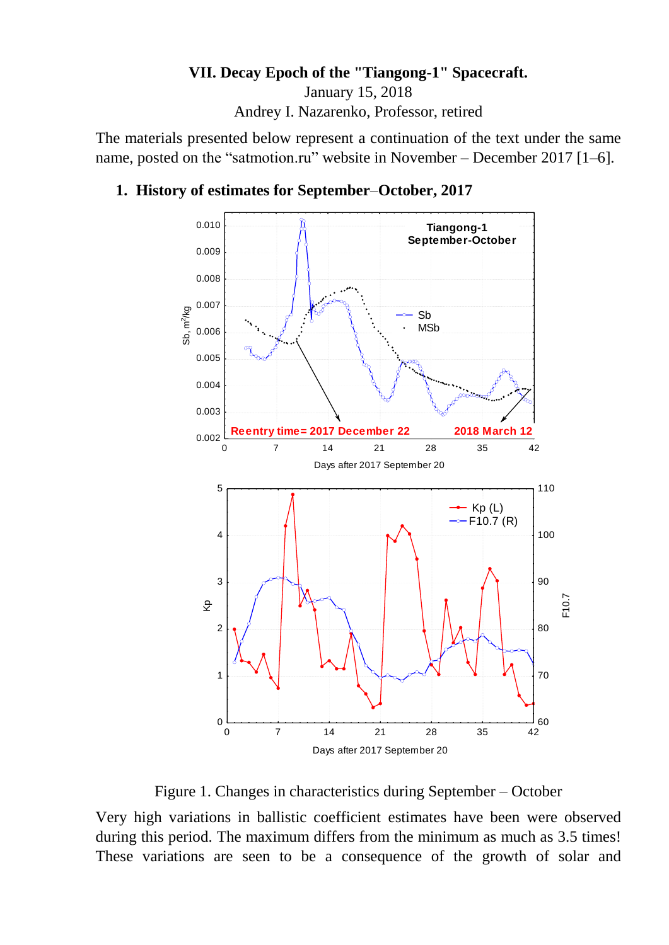### **VII. Decay Epoch of the "Tiangong-1" Spacecraft.**

January 15, 2018

Andrey I. Nazarenko, Professor, retired

The materials presented below represent a continuation of the text under the same name, posted on the "satmotion.ru" website in November – December 2017 [1–6].

#### **1. History of estimates for September**–**October, 2017**



Figure 1. Changes in characteristics during September – October

Very high variations in ballistic coefficient estimates have been were observed during this period. The maximum differs from the minimum as much as 3.5 times! These variations are seen to be a consequence of the growth of solar and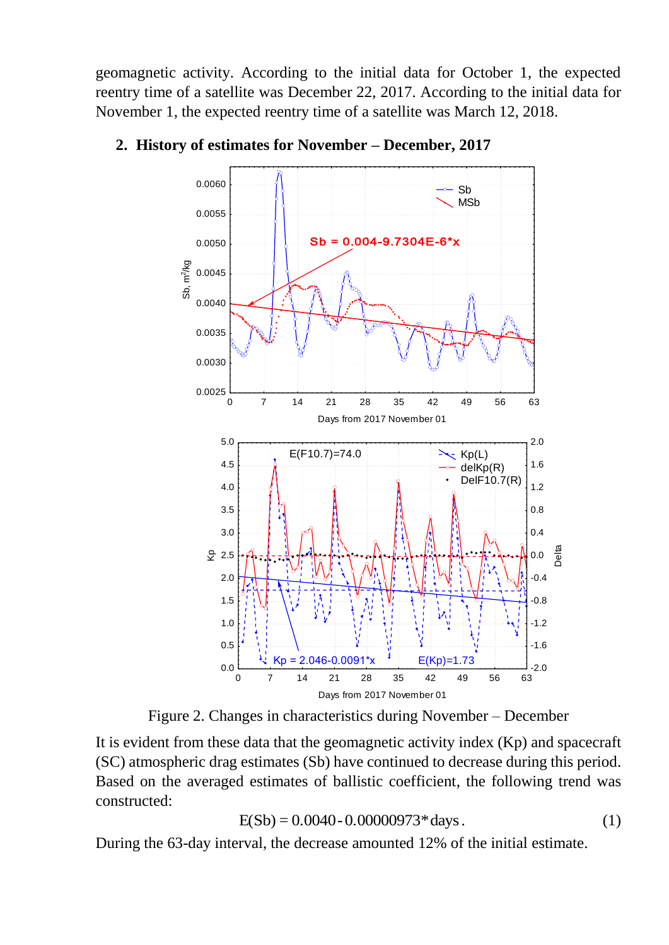geomagnetic activity. According to the initial data for October 1, the expected reentry time of a satellite was December 22, 2017. According to the initial data for November 1, the expected reentry time of a satellite was March 12, 2018.



#### **2. History of estimates for November – December, 2017**

Figure 2. Changes in characteristics during November – December

It is evident from these data that the geomagnetic activity index (Kp) and spacecraft (SC) atmospheric drag estimates (Sb) have continued to decrease during this period. Based on the averaged estimates of ballistic coefficient, the following trend was constructed:

$$
E(Sb) = 0.0040 - 0.00000973 * days.
$$
 (1)

During the 63-day interval, the decrease amounted 12% of the initial estimate.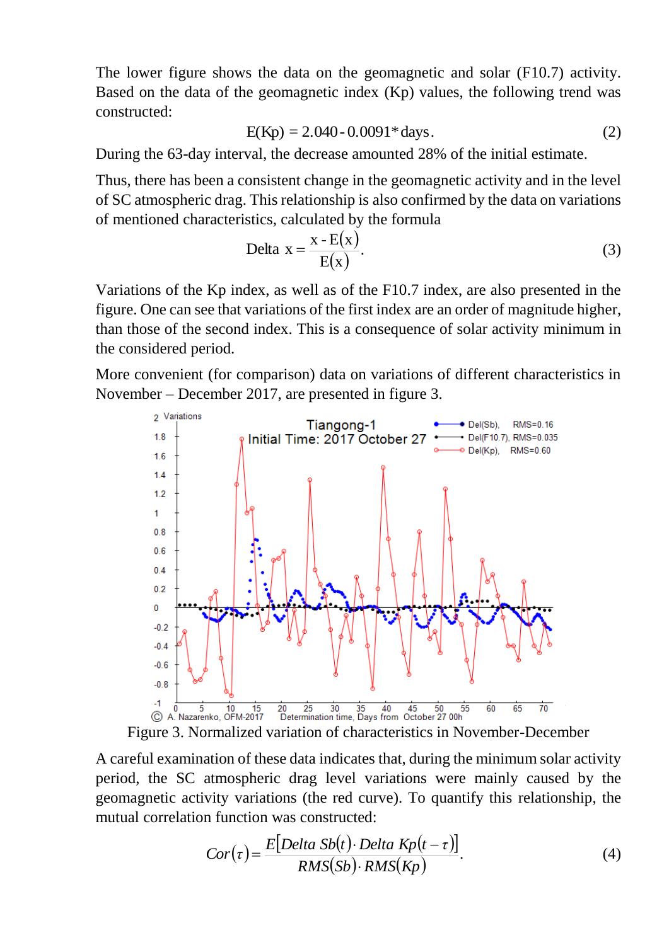The lower figure shows the data on the geomagnetic and solar (F10.7) activity. Based on the data of the geomagnetic index (Kp) values, the following trend was constructed:

$$
E(Kp) = 2.040 - 0.0091 * days.
$$
 (2)

During the 63-day interval, the decrease amounted 28% of the initial estimate.

Thus, there has been a consistent change in the geomagnetic activity and in the level of SC atmospheric drag. This relationship is also confirmed by the data on variations of mentioned characteristics, calculated by the formula

$$
Delta x = \frac{x - E(x)}{E(x)}.
$$
\n(3)

Variations of the Kp index, as well as of the F10.7 index, are also presented in the figure. One can see that variations of the first index are an order of magnitude higher, than those of the second index. This is a consequence of solar activity minimum in the considered period.

More convenient (for comparison) data on variations of different characteristics in November – December 2017, are presented in figure 3.



Figure 3. Normalized variation of characteristics in November-December

A careful examination of these data indicates that, during the minimum solar activity period, the SC atmospheric drag level variations were mainly caused by the geomagnetic activity variations (the red curve). To quantify this relationship, the mutual correlation function was constructed:

$$
Cor(\tau) = \frac{E[Delta Sb(t) \cdot Delta Kp(t-\tau)]}{RMS(Sb) \cdot RMS(Kp)}.
$$
\n(4)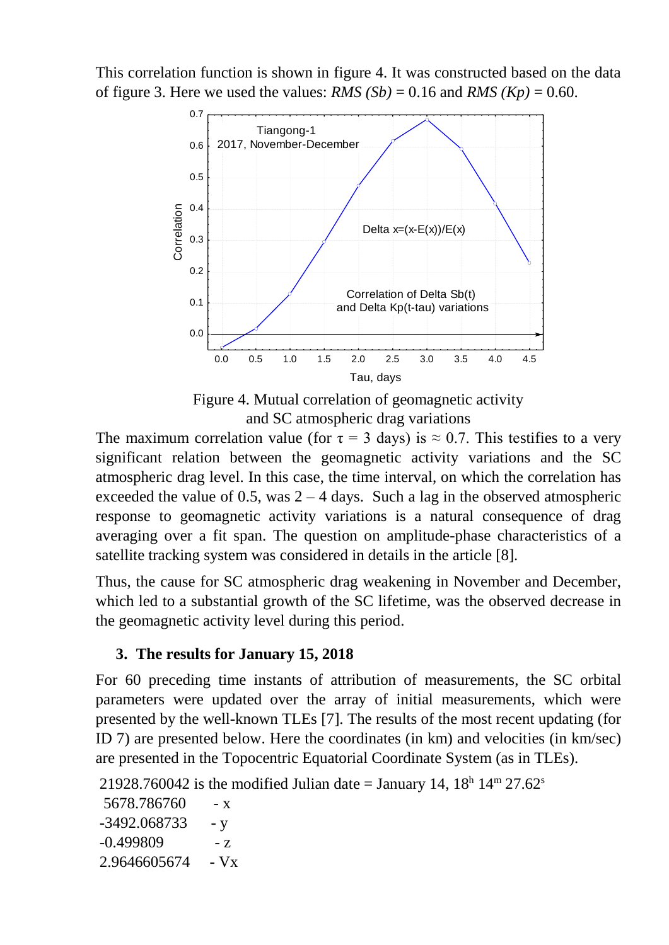This correlation function is shown in figure 4. It was constructed based on the data of figure 3. Here we used the values:  $RMS(Sb) = 0.16$  and  $RMS(Kp) = 0.60$ .



Figure 4. Mutual correlation of geomagnetic activity and SC atmospheric drag variations

The maximum correlation value (for  $\tau = 3$  days) is  $\approx 0.7$ . This testifies to a very significant relation between the geomagnetic activity variations and the SC atmospheric drag level. In this case, the time interval, on which the correlation has exceeded the value of 0.5, was  $2 - 4$  days. Such a lag in the observed atmospheric response to geomagnetic activity variations is a natural consequence of drag averaging over a fit span. The question on amplitude-phase characteristics of a satellite tracking system was considered in details in the article [8].

Thus, the cause for SC atmospheric drag weakening in November and December, which led to a substantial growth of the SC lifetime, was the observed decrease in the geomagnetic activity level during this period.

### **3. The results for January 15, 2018**

For 60 preceding time instants of attribution of measurements, the SC orbital parameters were updated over the array of initial measurements, which were presented by the well-known TLEs [7]. The results of the most recent updating (for ID 7) are presented below. Here the coordinates (in km) and velocities (in km/sec) are presented in the Topocentric Equatorial Coordinate System (as in TLEs).

21928.760042 is the modified Julian date = January 14,  $18^{\text{h}}$   $14^{\text{m}}$   $27.62^{\text{s}}$ 

5678.786760 - x  $-3492.068733 - y$  $-0.499809$   $- z$ 2.9646605674 - Vx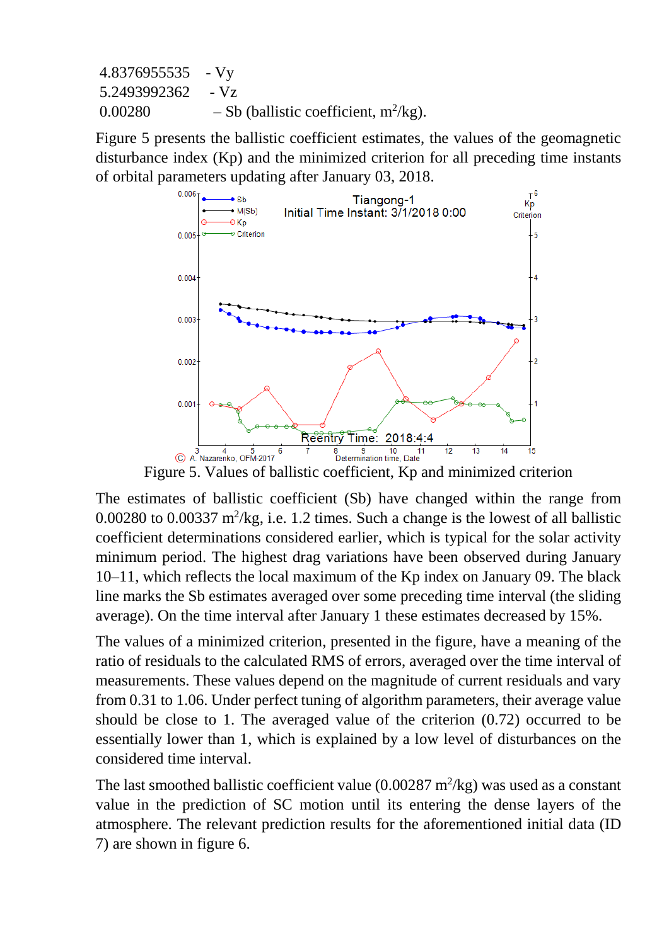4.8376955535 - Vy 5.2493992362 - Vz  $0.00280 - Sb$  (ballistic coefficient, m<sup>2</sup>/kg).

Figure 5 presents the ballistic coefficient estimates, the values of the geomagnetic disturbance index (Kp) and the minimized criterion for all preceding time instants of orbital parameters updating after January 03, 2018.



Figure 5. Values of ballistic coefficient, Kp and minimized criterion

The estimates of ballistic coefficient (Sb) have changed within the range from  $0.00280$  to  $0.00337$  m<sup>2</sup>/kg, i.e. 1.2 times. Such a change is the lowest of all ballistic coefficient determinations considered earlier, which is typical for the solar activity minimum period. The highest drag variations have been observed during January 10–11, which reflects the local maximum of the Kp index on January 09. The black line marks the Sb estimates averaged over some preceding time interval (the sliding average). On the time interval after January 1 these estimates decreased by 15%.

The values of a minimized criterion, presented in the figure, have a meaning of the ratio of residuals to the calculated RMS of errors, averaged over the time interval of measurements. These values depend on the magnitude of current residuals and vary from 0.31 to 1.06. Under perfect tuning of algorithm parameters, their average value should be close to 1. The averaged value of the criterion (0.72) occurred to be essentially lower than 1, which is explained by a low level of disturbances on the considered time interval.

The last smoothed ballistic coefficient value  $(0.00287 \text{ m}^2/\text{kg})$  was used as a constant value in the prediction of SC motion until its entering the dense layers of the atmosphere. The relevant prediction results for the aforementioned initial data (ID 7) are shown in figure 6.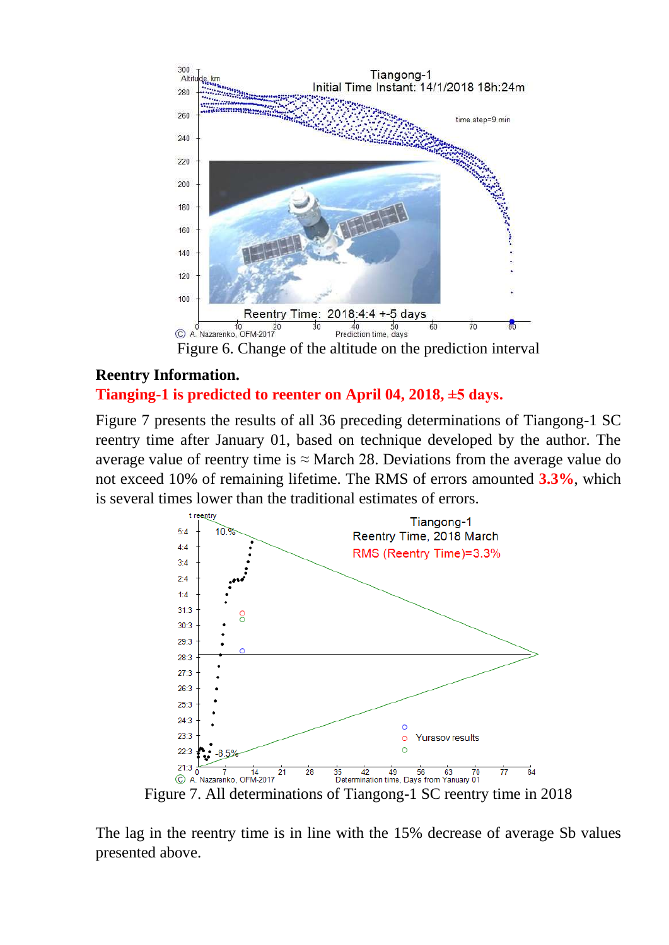

Figure 6. Change of the altitude on the prediction interval

### **Reentry Information.**

#### **Tianging-1 is predicted to reenter on April 04, 2018, ±5 days.**

Figure 7 presents the results of all 36 preceding determinations of Tiangong-1 SC reentry time after January 01, based on technique developed by the author. The average value of reentry time is  $\approx$  March 28. Deviations from the average value do not exceed 10% of remaining lifetime. The RMS of errors amounted **3.3%**, which is several times lower than the traditional estimates of errors.



The lag in the reentry time is in line with the 15% decrease of average Sb values presented above.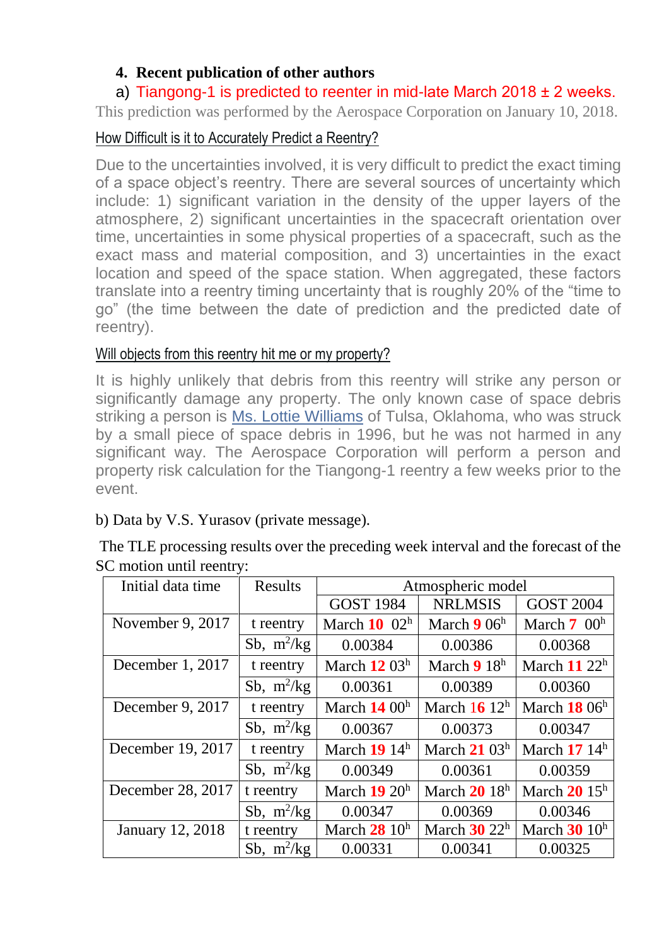## **4. Recent publication of other authors**

## a) Tiangong-1 is predicted to reenter in mid-late March  $2018 \pm 2$  weeks.

This prediction was performed by the Aerospace Corporation on January 10, 2018.

## How Difficult is it to Accurately Predict a Reentry?

Due to the uncertainties involved, it is very difficult to predict the exact timing of a space object's reentry. There are several sources of uncertainty which include: 1) significant variation in the density of the upper layers of the atmosphere, 2) significant uncertainties in the spacecraft orientation over time, uncertainties in some physical properties of a spacecraft, such as the exact mass and material composition, and 3) uncertainties in the exact location and speed of the space station. When aggregated, these factors translate into a reentry timing uncertainty that is roughly 20% of the "time to go" (the time between the date of prediction and the predicted date of reentry).

## Will objects from this reentry hit me or my property?

It is highly unlikely that debris from this reentry will strike any person or significantly damage any property. The only known case of space debris striking a person is Ms. [Lottie Williams](http://www.aerospace.org/cords/spacecraft-reentry/) of Tulsa, Oklahoma, who was struck by a small piece of space debris in 1996, but he was not harmed in any significant way. The Aerospace Corporation will perform a person and property risk calculation for the Tiangong-1 reentry a few weeks prior to the event.

## b) Data by V.S. Yurasov (private message).

| The TLE processing results over the preceding week interval and the forecast of the |  |
|-------------------------------------------------------------------------------------|--|
| SC motion until reentry:                                                            |  |

| Initial data time       | <b>Results</b> | Atmospheric model |                   |                  |
|-------------------------|----------------|-------------------|-------------------|------------------|
|                         |                | <b>GOST 1984</b>  | <b>NRLMSIS</b>    | <b>GOST 2004</b> |
| November 9, 2017        | t reentry      | March $10^{10}$   | March $906h$      | March $7\ 00h$   |
|                         | Sb, $m^2/kg$   | 0.00384           | 0.00386           | 0.00368          |
| December 1, 2017        | t reentry      | March $12\ 03^h$  | March $918h$      | March $11\ 22^h$ |
|                         | Sb, $m^2/kg$   | 0.00361           | 0.00389           | 0.00360          |
| December 9, 2017        | t reentry      | March $1400h$     | March $16^{12^h}$ | March $1806h$    |
|                         | Sb, $m^2/kg$   | 0.00367           | 0.00373           | 0.00347          |
| December 19, 2017       | t reentry      | March 19 14h      | March $21\,03^h$  | March $1714h$    |
|                         | Sb, $m^2/kg$   | 0.00349           | 0.00361           | 0.00359          |
| December 28, 2017       | t reentry      | March $19\ 20h$   | March $2018h$     | March $2015^h$   |
|                         | Sb, $m^2/kg$   | 0.00347           | 0.00369           | 0.00346          |
| <b>January 12, 2018</b> | t reentry      | March $2810h$     | March $30\ 22^h$  | March $30$ $10h$ |
|                         | Sb, $m^2/kg$   | 0.00331           | 0.00341           | 0.00325          |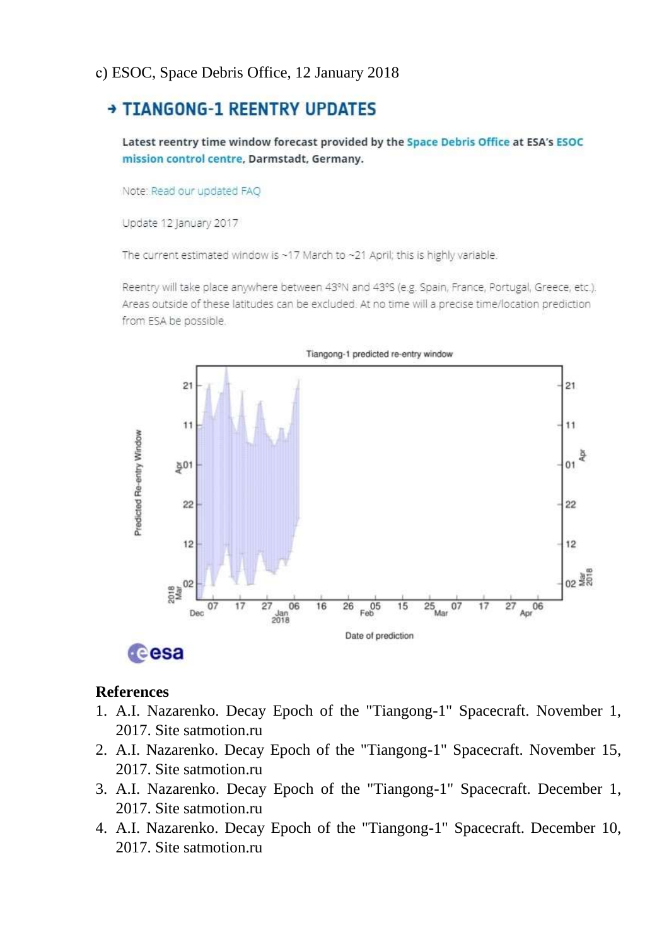#### с) ESOC, Space Debris Office, 12 January 2018

# **+ TIANGONG-1 REENTRY UPDATES**

Latest reentry time window forecast provided by the Space Debris Office at ESA's ESOC mission control centre, Darmstadt, Germany.

Note: Read our updated FAO

Update 12 January 2017

The current estimated window is ~17 March to ~21 April; this is highly variable.

Reentry will take place anywhere between 43°N and 43°S (e.g. Spain, France, Portugal, Greece, etc.). Areas outside of these latitudes can be excluded. At no time will a precise time/location prediction from ESA be possible.



#### **References**

- 1. A.I. Nazarenko. Decay Epoch of the "Tiangong-1" Spacecraft. November 1, 2017. Site satmotion.ru
- 2. A.I. Nazarenko. Decay Epoch of the "Tiangong-1" Spacecraft. November 15, 2017. Site satmotion.ru
- 3. A.I. Nazarenko. Decay Epoch of the "Tiangong-1" Spacecraft. December 1, 2017. Site satmotion.ru
- 4. A.I. Nazarenko. Decay Epoch of the "Tiangong-1" Spacecraft. December 10, 2017. Site satmotion ru